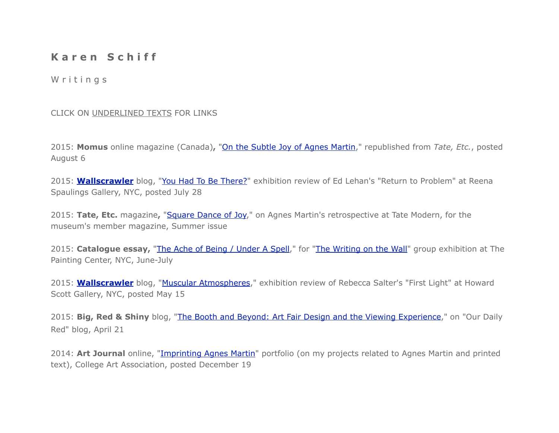## **K a r e n S c h i f f**

## W r i t i n q s

## CLICK ON UNDERLINED TEXTS FOR LINKS

2015: **Momus** online magazine (Canada)**,** "[On the Subtle Joy of Agnes Martin,](http://momus.ca/on-the-subtle-joy-of-agnes-martin/)" republished from *Tate, Etc.*, posted August 6

2015: **[Wallscrawler](http://wallscrawler.blogspot.com/2015/05/why-wallscrawler.html)** blog, ["You Had To Be There?](http://www.wallscrawler.blogspot.com/2015/07/you-had-to-be-there.html)" exhibition review of Ed Lehan's "Return to Problem" at Reena Spaulings Gallery, NYC, posted July 28

2015: **Tate, Etc.** magazine**,** ["Square Dance of Joy](http://issuu.com/cultureshockmedia/docs/tate_etc._magazine_____issue_34/1)," on Agnes Martin's retrospective at Tate Modern, for the museum's member magazine, Summer issue

2015: **Catalogue essay,** ["The Ache of Being / Under A Spell](http://thepaintingcenter.org/sites/default/files/The%20Writing%20on%20the%20Wall_0.pdf)," for ["The Writing on the Wall"](http://www.thepaintingcenter.org/exhibitions/writing-wall) group exhibition at The Painting Center, NYC, June-July

2015: **[Wallscrawler](http://wallscrawler.blogspot.com/2015/05/why-wallscrawler.html)** blog, ["Muscular Atmospheres](http://www.wallscrawler.blogspot.com/2015/05/muscular-atmospheres.html)," exhibition review of Rebecca Salter's "First Light" at Howard Scott Gallery, NYC, posted May 15

2015: **Big, Red & Shiny** blog, ["The Booth and Beyond: Art Fair Design and the Viewing Experience,](http://www.bigredandshiny.com/cgi-bin/BRS.cgi?article=2015-03-21-093253659599542789)" on "Our Daily Red" blog, April 21

2014: **Art Journal** online, ["Imprinting Agnes Martin"](http://artjournal.collegeart.org/?p=5557) portfolio (on my projects related to Agnes Martin and printed text), College Art Association, posted December 19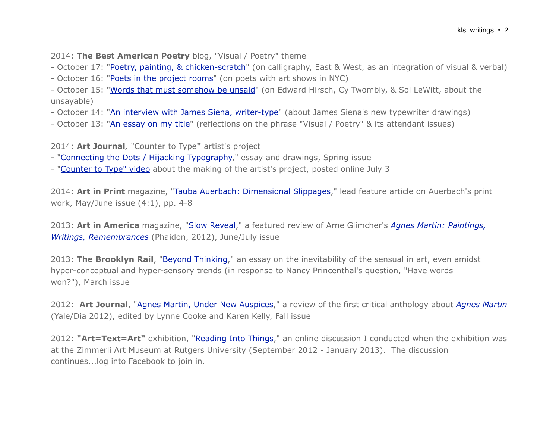2014: **The Best American Poetry** blog, "Visual / Poetry" theme

- October 17: ["Poetry, painting, & chicken-scratch](http://blog.bestamericanpoetry.com/the_best_american_poetry/2014/10/visual-poetry-day-5-ideograms-of-gibberish.html)" (on calligraphy, East & West, as an integration of visual & verbal)

- October 16: ["Poets in the project rooms](http://blog.bestamericanpoetry.com/the_best_american_poetry/2014/10/visual-poetry-day-4-poet-artists-in-the-back-room-text-art-in-the-front.html)" (on poets with art shows in NYC)

- October 15: ["Words that must somehow be unsaid"](http://blog.bestamericanpoetry.com/the_best_american_poetry/2014/10/visual-poetry-day-3-words-that-must-somehow-be-not-said.html) (on Edward Hirsch, Cy Twombly, & Sol LeWitt, about the unsayable)

- October 14: ["An interview with James Siena, writer-type"](http://blog.bestamericanpoetry.com/the_best_american_poetry/2014/10/visual-poetry-day-2-a-visit-with-james-siena-writer-type.html) (about James Siena's new typewriter drawings)

- October 13: ["An essay on my title](http://blog.bestamericanpoetry.com/the_best_american_poetry/2014/10/visual-poetry-day-1-an-essay-on-my-title.html)" (reflections on the phrase "Visual / Poetry" & its attendant issues)

2014: **Art Journal***,* "Counter to Type**"** artist's project

- "[Connecting the Dots / Hijacking Typography,](http://www.tandfonline.com/doi/full/10.1080/00043249.2014.891911)" essay and drawings, Spring issue
- "[Counter to Type" video](http://artjournal.collegeart.org/?p=4572) about the making of the artist's project, posted online July 3

2014: **Art in Print** magazine, "[Tauba Auerbach: Dimensional Slippages,](http://artinprint.org/article/tauba-auerbach-dimensional-slippages/)" lead feature article on Auerbach's print work, May/June issue (4:1), pp. 4-8

2013: **Art in America** magazine, ["Slow Reveal,](http://www.artinamericamagazine.com/news-features/magazine/agnes-martin-paintings-writings-remembrances/)" a featured review of Arne Glimcher's *[Agnes Martin: Paintings,](http://www.phaidon.com/store/art/agnes-martin-9780714859965/)  [Writings, Remembrances](http://www.phaidon.com/store/art/agnes-martin-9780714859965/)* (Phaidon, 2012), June/July issue

2013: **The Brooklyn Rail**, "**Beyond Thinking**," an essay on the inevitability of the sensual in art, even amidst hyper-conceptual and hyper-sensory trends (in response to Nancy Princenthal's question, "Have words won?"), March issue

2012: **Art Journal**, ["Agnes Martin, Under New Auspices](http://artjournal.collegeart.org/?p=3354)," a review of the first critical anthology about *[Agnes Martin](http://yalepress.yale.edu/book.asp?isbn=9780300151053)* (Yale/Dia 2012), edited by Lynne Cooke and Karen Kelly, Fall issue

2012: **"Art=Text=Art"** exhibition, "[Reading Into Things,](http://www.artequalstext.com/karen-schiff-4/)" an online discussion I conducted when the exhibition was at the Zimmerli Art Museum at Rutgers University (September 2012 - January 2013). The discussion continues...log into Facebook to join in.